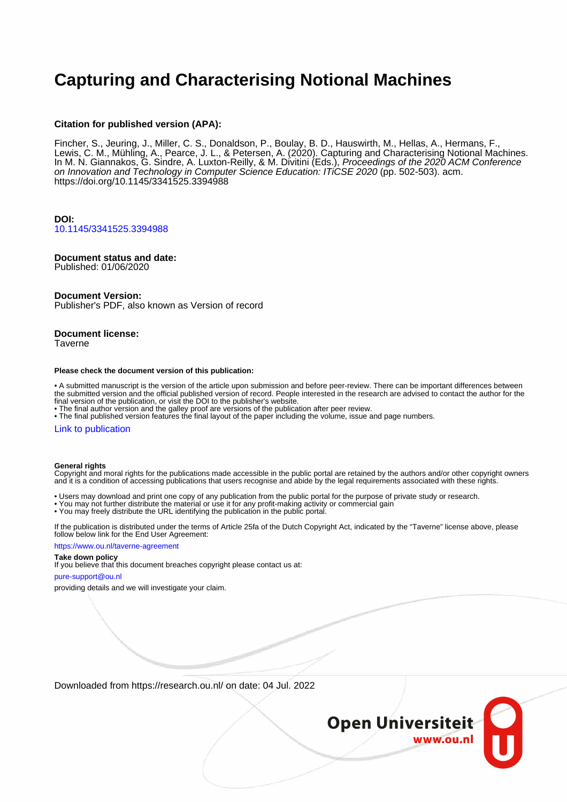# **Capturing and Characterising Notional Machines**

## **Citation for published version (APA):**

Fincher, S., Jeuring, J., Miller, C. S., Donaldson, P., Boulay, B. D., Hauswirth, M., Hellas, A., Hermans, F., Lewis, C. M., Mühling, A., Pearce, J. L., & Petersen, A. (2020). Capturing and Characterising Notional Machines. In M. N. Giannakos, G. Sindre, A. Luxton-Reilly, & M. Divitini (Eds.), *Proceedings of the 2020 ACM Conference* on Innovation and Technology in Computer Science Education: ITiCSE 2020 (pp. 502-503). acm. <https://doi.org/10.1145/3341525.3394988>

### **DOI:** [10.1145/3341525.3394988](https://doi.org/10.1145/3341525.3394988)

## **Document status and date:**

Published: 01/06/2020

### **Document Version:**

Publisher's PDF, also known as Version of record

## **Document license:**

Taverne

#### **Please check the document version of this publication:**

• A submitted manuscript is the version of the article upon submission and before peer-review. There can be important differences between the submitted version and the official published version of record. People interested in the research are advised to contact the author for the final version of the publication, or visit the DOI to the publisher's website.

• The final author version and the galley proof are versions of the publication after peer review.

• The final published version features the final layout of the paper including the volume, issue and page numbers.

#### [Link to publication](https://research.ou.nl/en/publications/3dacd261-f238-485b-8a45-bc076a4daa88)

#### **General rights**

Copyright and moral rights for the publications made accessible in the public portal are retained by the authors and/or other copyright owners and it is a condition of accessing publications that users recognise and abide by the legal requirements associated with these rights.

- Users may download and print one copy of any publication from the public portal for the purpose of private study or research.
- You may not further distribute the material or use it for any profit-making activity or commercial gain
- You may freely distribute the URL identifying the publication in the public portal.

If the publication is distributed under the terms of Article 25fa of the Dutch Copyright Act, indicated by the "Taverne" license above, please follow below link for the End User Agreement:

#### https://www.ou.nl/taverne-agreement

# **Take down policy**

If you believe that this document breaches copyright please contact us at:

#### pure-support@ou.nl

providing details and we will investigate your claim.

Downloaded from https://research.ou.nl/ on date: 04 Jul. 2022

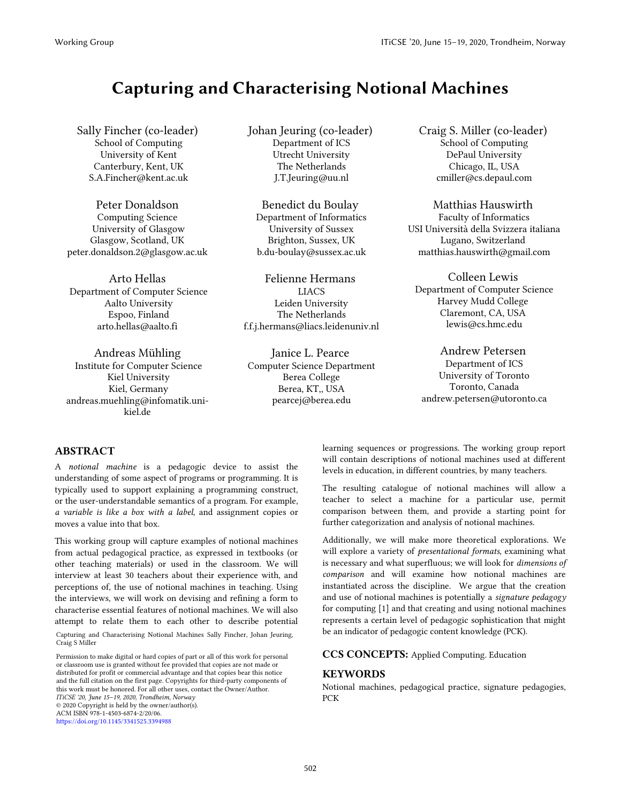# **Capturing and Characterising Notional Machines**

Sally Fincher (co-leader) School of Computing University of Kent Canterbury, Kent, UK S.A.Fincher@kent.ac.uk

Peter Donaldson Computing Science University of Glasgow Glasgow, Scotland, UK peter.donaldson.2@glasgow.ac.uk

Arto Hellas Department of Computer Science Aalto University Espoo, Finland arto.hellas@aalto.fi

Andreas Mühling Institute for Computer Science Kiel University Kiel, Germany andreas.muehling@infomatik.unikiel.de

Johan Jeuring (co-leader) Department of ICS Utrecht University The Netherlands J.T.Jeurin[g@uu.n](mailto:email@email.com)l

Benedict du Boulay Department of Informatics University of Sussex Brighton, Sussex, UK b.du-boulay@sussex.ac.uk

Felienne Hermans LIACS Leiden University The Netherlands f.f.j.hermans@liacs.leidenuniv.nl

Janice L. Pearce Computer Science Department Berea College Berea, KT,, USA pearcej@berea.edu

Craig S. Miller (co-leader) School of Computing DePaul University Chicago, IL, USA cmiller@cs.depaul.com

Matthias Hauswirth Faculty of Informatics USI Università della Svizzera italiana Lugano, Switzerland matthias.hauswirth@gmail.com

Colleen Lewis Department of Computer Science Harvey Mudd College Claremont, CA, USA lewis@cs.hmc.edu

Andrew Petersen Department of ICS University of Toronto Toronto, Canada andrew.petersen@utoronto.ca

# **ABSTRACT**

A *notional machine* is a pedagogic device to assist the understanding of some aspect of programs or programming. It is typically used to support explaining a programming construct, or the user-understandable semantics of a program. For example, *a variable is like a box with a label*, and assignment copies or moves a value into that box.

This working group will capture examples of notional machines from actual pedagogical practice, as expressed in textbooks (or other teaching materials) or used in the classroom. We will interview at least 30 teachers about their experience with, and perceptions of, the use of notional machines in teaching. Using the interviews, we will work on devising and refining a form to characterise essential features of notional machines. We will also attempt to relate them to each other to describe potential

Capturing and Characterising Notional Machines Sally Fincher, Johan Jeuring, Craig S Miller

Permission to make digital or hard copies of part or all of this work for personal or classroom use is granted without fee provided that copies are not made or distributed for profit or commercial advantage and that copies bear this notice and the full citation on the first page. Copyrights for third-party components of this work must be honored. For all other uses, contact the Owner/Author. *ITiCSE '20, June 15–19, 2020, Trondheim, Norway*  © 2020 Copyright is held by the owner/author(s). ACM ISBN 978-1-4503-6874-2/20/06. <https://doi.org/10.1145/3341525.3394988>

learning sequences or progressions. The working group report will contain descriptions of notional machines used at different levels in education, in different countries, by many teachers.

The resulting catalogue of notional machines will allow a teacher to select a machine for a particular use, permit comparison between them, and provide a starting point for further categorization and analysis of notional machines.

Additionally, we will make more theoretical explorations. We will explore a variety of *presentational formats*, examining what is necessary and what superfluous; we will look for *dimensions of comparison* and will examine how notional machines are instantiated across the discipline. We argue that the creation and use of notional machines is potentially a *signature pedagogy* for computing [1] and that creating and using notional machines represents a certain level of pedagogic sophistication that might be an indicator of pedagogic content knowledge (PCK).

**CCS CONCEPTS:** Applied Computing. Education

# **KEYWORDS**

Notional machines, pedagogical practice, signature pedagogies, PCK